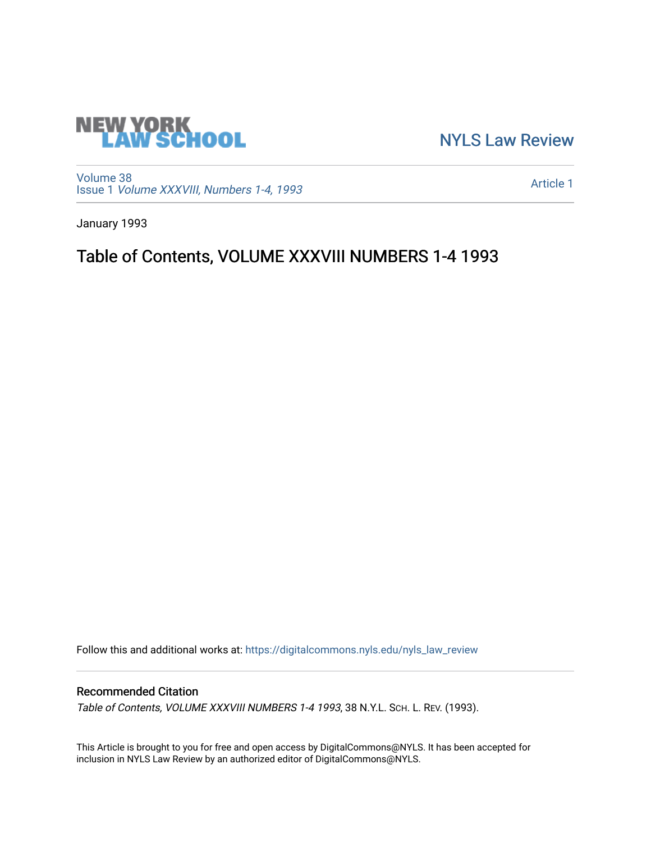

[NYLS Law Review](https://digitalcommons.nyls.edu/nyls_law_review) 

[Volume 38](https://digitalcommons.nyls.edu/nyls_law_review/vol38) Issue 1 [Volume XXXVIII, Numbers 1-4, 1993](https://digitalcommons.nyls.edu/nyls_law_review/vol38/iss1)

[Article 1](https://digitalcommons.nyls.edu/nyls_law_review/vol38/iss1/1) 

January 1993

## Table of Contents, VOLUME XXXVIII NUMBERS 1-4 1993

Follow this and additional works at: [https://digitalcommons.nyls.edu/nyls\\_law\\_review](https://digitalcommons.nyls.edu/nyls_law_review?utm_source=digitalcommons.nyls.edu%2Fnyls_law_review%2Fvol38%2Fiss1%2F1&utm_medium=PDF&utm_campaign=PDFCoverPages) 

## Recommended Citation

Table of Contents, VOLUME XXXVIII NUMBERS 1-4 1993, 38 N.Y.L. SCH. L. REV. (1993).

This Article is brought to you for free and open access by DigitalCommons@NYLS. It has been accepted for inclusion in NYLS Law Review by an authorized editor of DigitalCommons@NYLS.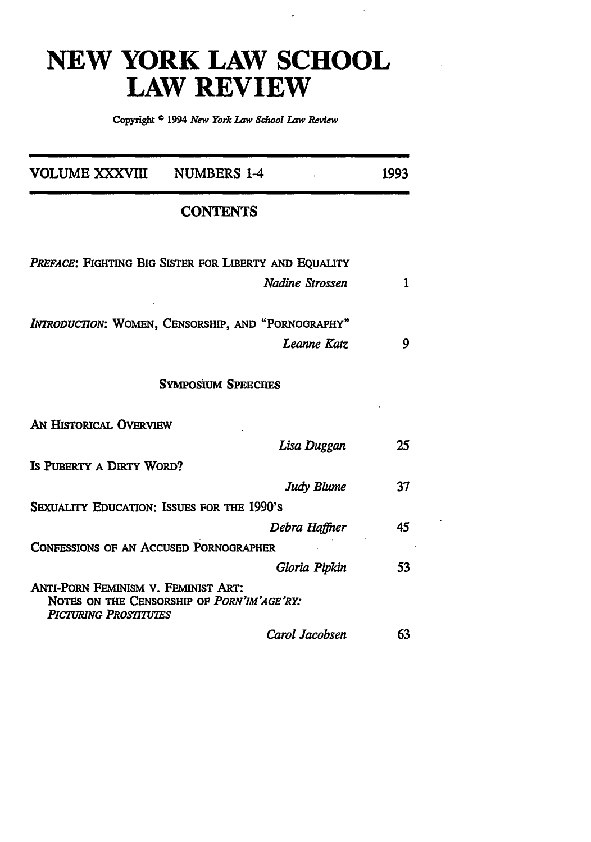## **NEW YORK LAW SCHOOL LAW REVIEW**

 $\epsilon$ 

**Copyright** 1994 *New York Law School Law Review*

| VOLUME XXXVIII                                                                                                    | <b>NUMBERS 1-4</b>                                    | 1993 |
|-------------------------------------------------------------------------------------------------------------------|-------------------------------------------------------|------|
|                                                                                                                   | <b>CONTENTS</b>                                       |      |
|                                                                                                                   | PREFACE: FIGHTING BIG SISTER FOR LIBERTY AND EQUALITY |      |
|                                                                                                                   | Nadine Strossen                                       | 1    |
|                                                                                                                   | INTRODUCTION: WOMEN, CENSORSHIP, AND "PORNOGRAPHY"    |      |
|                                                                                                                   | Leanne Katz                                           | 9    |
|                                                                                                                   | <b>SYMPOSIUM SPEECHES</b>                             |      |
| AN HISTORICAL OVERVIEW                                                                                            |                                                       |      |
|                                                                                                                   | Lisa Duggan                                           | 25   |
| IS PUBERTY A DIRTY WORD?                                                                                          |                                                       |      |
|                                                                                                                   | Judy Blume                                            | 37   |
| SEXUALITY EDUCATION: ISSUES FOR THE 1990'S                                                                        |                                                       |      |
|                                                                                                                   | Debra Haffner                                         | 45   |
| <b>CONFESSIONS OF AN ACCUSED PORNOGRAPHER</b>                                                                     |                                                       |      |
|                                                                                                                   | Gloria Pipkin                                         | 53   |
| ANTI-PORN FEMINISM V. FEMINIST ART:<br>NOTES ON THE CENSORSHIP OF PORN'IM'AGE'RY:<br><b>PICTURING PROSTITUTES</b> |                                                       |      |
|                                                                                                                   | Carol Jacobsen                                        | 63   |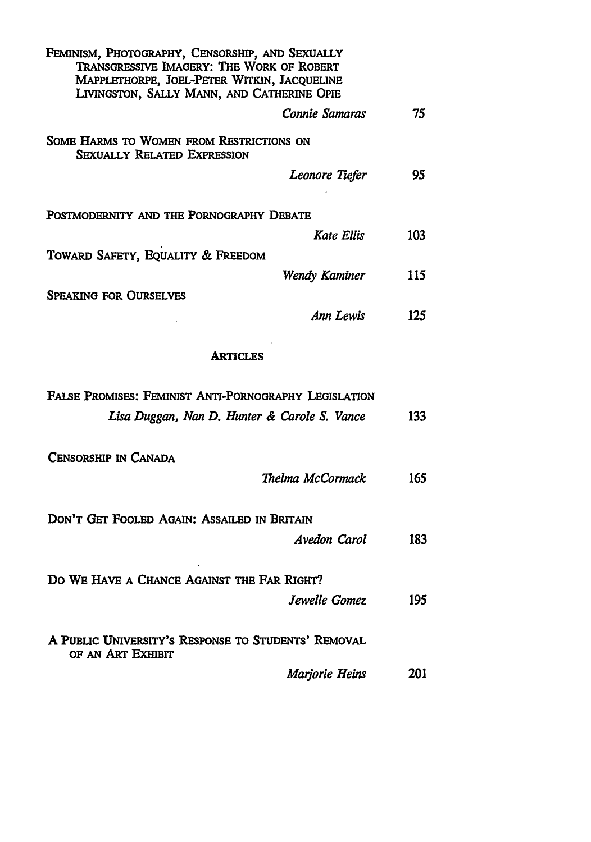| FEMINISM, PHOTOGRAPHY, CENSORSHIP, AND SEXUALLY<br>TRANSGRESSIVE IMAGERY: THE WORK OF ROBERT<br>MAPPLETHORPE, JOEL-PETER WITKIN, JACQUELINE<br>LIVINGSTON, SALLY MANN, AND CATHERINE OPIE |     |
|-------------------------------------------------------------------------------------------------------------------------------------------------------------------------------------------|-----|
| Connie Samaras                                                                                                                                                                            | 75  |
| SOME HARMS TO WOMEN FROM RESTRICTIONS ON<br><b>SEXUALLY RELATED EXPRESSION</b>                                                                                                            |     |
| Leonore Tiefer                                                                                                                                                                            | 95. |
| POSTMODERNITY AND THE PORNOGRAPHY DEBATE                                                                                                                                                  |     |
| Kate Ellis                                                                                                                                                                                | 103 |
| TOWARD SAFETY, EQUALITY & FREEDOM                                                                                                                                                         |     |
| Wendy Kaminer                                                                                                                                                                             | 115 |
| <b>SPEAKING FOR OURSELVES</b>                                                                                                                                                             |     |
| Ann Lewis                                                                                                                                                                                 | 125 |
| <b>ARTICLES</b>                                                                                                                                                                           |     |
| FALSE PROMISES: FEMINIST ANTI-PORNOGRAPHY LEGISLATION                                                                                                                                     |     |
| Lisa Duggan, Nan D. Hunter & Carole S. Vance                                                                                                                                              | 133 |
| CENSORSHIP IN CANADA                                                                                                                                                                      |     |
| Thelma McCormack                                                                                                                                                                          | 165 |
| DON'T GET FOOLED AGAIN: ASSAILED IN BRITAIN                                                                                                                                               |     |
| Avedon Carol                                                                                                                                                                              | 183 |
| DO WE HAVE A CHANCE AGAINST THE FAR RIGHT?                                                                                                                                                |     |
| Jewelle Gomez                                                                                                                                                                             | 195 |
| A PUBLIC UNIVERSITY'S RESPONSE TO STUDENTS' REMOVAL<br>OF AN ART EXHIBIT                                                                                                                  |     |
| Marjorie Heins                                                                                                                                                                            | 201 |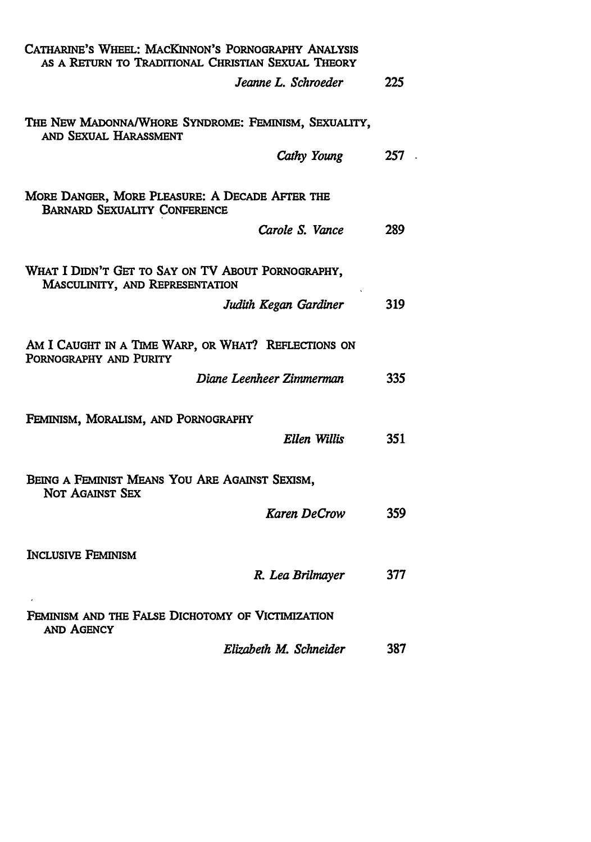| CATHARINE'S WHEEL: MACKINNON'S PORNOGRAPHY ANALYSIS<br>AS A RETURN TO TRADITIONAL CHRISTIAN SEXUAL THEORY |     |
|-----------------------------------------------------------------------------------------------------------|-----|
| Jeanne L. Schroeder                                                                                       | 225 |
| THE NEW MADONNA/WHORE SYNDROME: FEMINISM, SEXUALITY,<br>AND SEXUAL HARASSMENT                             |     |
| Cathy Young                                                                                               | 257 |
| MORE DANGER, MORE PLEASURE: A DECADE AFTER THE<br><b>BARNARD SEXUALITY CONFERENCE</b>                     |     |
| Carole S. Vance                                                                                           | 289 |
| WHAT I DIDN'T GET TO SAY ON TV ABOUT PORNOGRAPHY,<br>MASCULINITY, AND REPRESENTATION                      |     |
| Judith Kegan Gardiner                                                                                     | 319 |
| AM I CAUGHT IN A TIME WARP, OR WHAT? REFLECTIONS ON<br>PORNOGRAPHY AND PURITY                             |     |
| Diane Leenheer Zimmerman                                                                                  | 335 |
| FEMINISM, MORALISM, AND PORNOGRAPHY                                                                       |     |
| Ellen Willis                                                                                              | 351 |
| BEING A FEMINIST MEANS YOU ARE AGAINST SEXISM,<br>NOT AGAINST SEX                                         |     |
| <b>Karen DeCrow</b>                                                                                       | 359 |
| <b>INCLUSIVE FEMINISM</b>                                                                                 |     |
| R. Lea Brilmayer                                                                                          | 377 |
| FEMINISM AND THE FALSE DICHOTOMY OF VICTIMIZATION<br><b>AND AGENCY</b>                                    |     |
| Elizabeth M. Schneider                                                                                    | 387 |